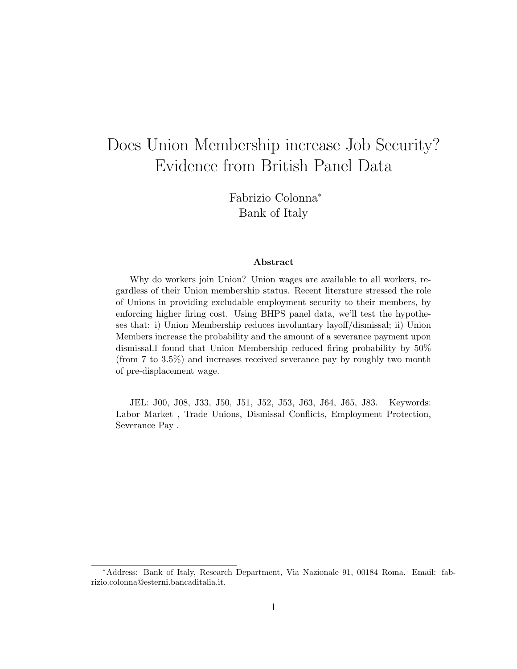# Does Union Membership increase Job Security? Evidence from British Panel Data

Fabrizio Colonna<sup>∗</sup> Bank of Italy

#### Abstract

Why do workers join Union? Union wages are available to all workers, regardless of their Union membership status. Recent literature stressed the role of Unions in providing excludable employment security to their members, by enforcing higher firing cost. Using BHPS panel data, we'll test the hypotheses that: i) Union Membership reduces involuntary layoff/dismissal; ii) Union Members increase the probability and the amount of a severance payment upon dismissal.I found that Union Membership reduced firing probability by 50% (from 7 to 3.5%) and increases received severance pay by roughly two month of pre-displacement wage.

JEL: J00, J08, J33, J50, J51, J52, J53, J63, J64, J65, J83. Keywords: Labor Market , Trade Unions, Dismissal Conflicts, Employment Protection, Severance Pay .

<sup>∗</sup>Address: Bank of Italy, Research Department, Via Nazionale 91, 00184 Roma. Email: fabrizio.colonna@esterni.bancaditalia.it.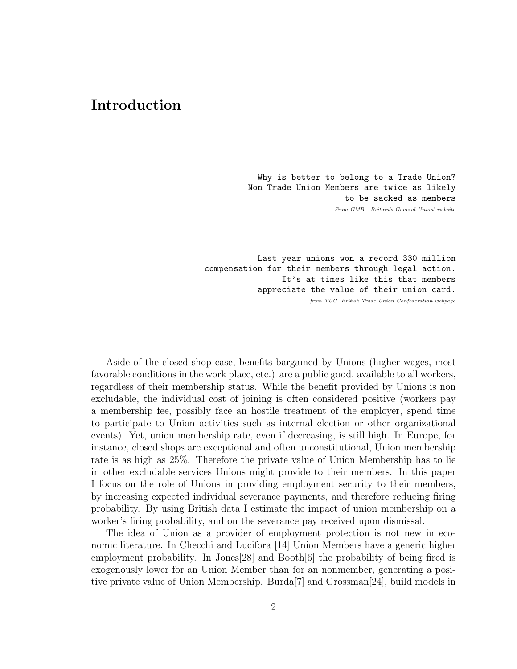## Introduction

Why is better to belong to a Trade Union? Non Trade Union Members are twice as likely to be sacked as members From GMB - Britain's General Union' website

Last year unions won a record 330 million compensation for their members through legal action. It's at times like this that members appreciate the value of their union card.

from TUC -British Trade Union Confederation webpage

Aside of the closed shop case, benefits bargained by Unions (higher wages, most favorable conditions in the work place, etc.) are a public good, available to all workers, regardless of their membership status. While the benefit provided by Unions is non excludable, the individual cost of joining is often considered positive (workers pay a membership fee, possibly face an hostile treatment of the employer, spend time to participate to Union activities such as internal election or other organizational events). Yet, union membership rate, even if decreasing, is still high. In Europe, for instance, closed shops are exceptional and often unconstitutional, Union membership rate is as high as 25%. Therefore the private value of Union Membership has to lie in other excludable services Unions might provide to their members. In this paper I focus on the role of Unions in providing employment security to their members, by increasing expected individual severance payments, and therefore reducing firing probability. By using British data I estimate the impact of union membership on a worker's firing probability, and on the severance pay received upon dismissal.

The idea of Union as a provider of employment protection is not new in economic literature. In Checchi and Lucifora [14] Union Members have a generic higher employment probability. In Jones[28] and Booth[6] the probability of being fired is exogenously lower for an Union Member than for an nonmember, generating a positive private value of Union Membership. Burda[7] and Grossman[24], build models in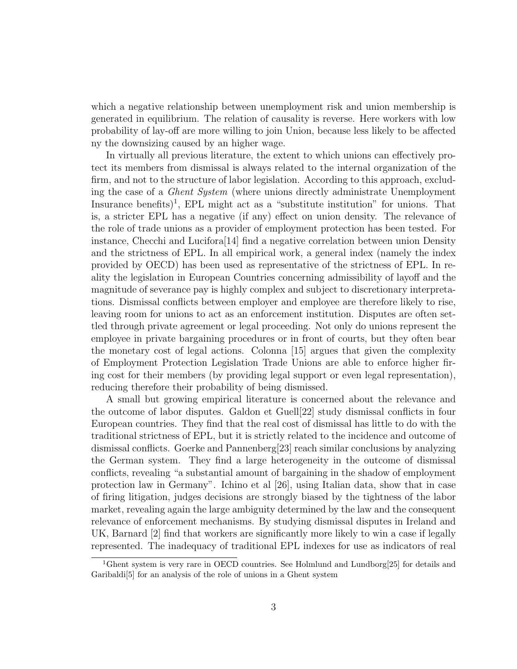which a negative relationship between unemployment risk and union membership is generated in equilibrium. The relation of causality is reverse. Here workers with low probability of lay-off are more willing to join Union, because less likely to be affected ny the downsizing caused by an higher wage.

In virtually all previous literature, the extent to which unions can effectively protect its members from dismissal is always related to the internal organization of the firm, and not to the structure of labor legislation. According to this approach, excluding the case of a Ghent System (where unions directly administrate Unemployment Insurance benefits)<sup>1</sup>, EPL might act as a "substitute institution" for unions. That is, a stricter EPL has a negative (if any) effect on union density. The relevance of the role of trade unions as a provider of employment protection has been tested. For instance, Checchi and Lucifora[14] find a negative correlation between union Density and the strictness of EPL. In all empirical work, a general index (namely the index provided by OECD) has been used as representative of the strictness of EPL. In reality the legislation in European Countries concerning admissibility of layoff and the magnitude of severance pay is highly complex and subject to discretionary interpretations. Dismissal conflicts between employer and employee are therefore likely to rise, leaving room for unions to act as an enforcement institution. Disputes are often settled through private agreement or legal proceeding. Not only do unions represent the employee in private bargaining procedures or in front of courts, but they often bear the monetary cost of legal actions. Colonna [15] argues that given the complexity of Employment Protection Legislation Trade Unions are able to enforce higher firing cost for their members (by providing legal support or even legal representation), reducing therefore their probability of being dismissed.

A small but growing empirical literature is concerned about the relevance and the outcome of labor disputes. Galdon et Guell[22] study dismissal conflicts in four European countries. They find that the real cost of dismissal has little to do with the traditional strictness of EPL, but it is strictly related to the incidence and outcome of dismissal conflicts. Goerke and Pannenberg[23] reach similar conclusions by analyzing the German system. They find a large heterogeneity in the outcome of dismissal conflicts, revealing "a substantial amount of bargaining in the shadow of employment protection law in Germany". Ichino et al [26], using Italian data, show that in case of firing litigation, judges decisions are strongly biased by the tightness of the labor market, revealing again the large ambiguity determined by the law and the consequent relevance of enforcement mechanisms. By studying dismissal disputes in Ireland and UK, Barnard [2] find that workers are significantly more likely to win a case if legally represented. The inadequacy of traditional EPL indexes for use as indicators of real

<sup>&</sup>lt;sup>1</sup>Ghent system is very rare in OECD countries. See Holmlund and Lundborg[25] for details and Garibaldi[5] for an analysis of the role of unions in a Ghent system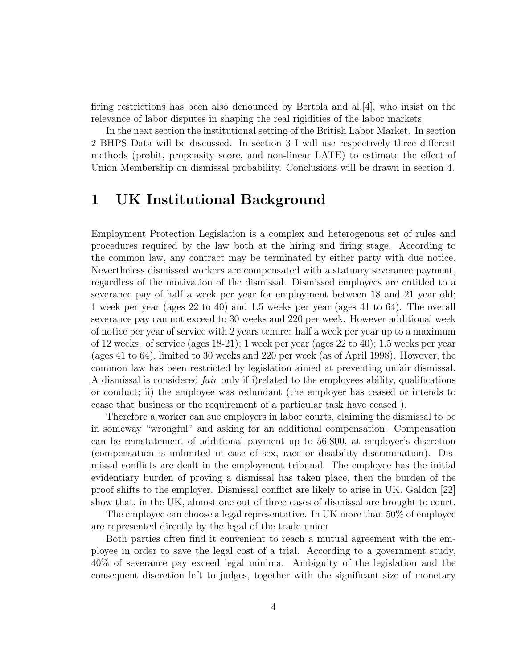firing restrictions has been also denounced by Bertola and al.[4], who insist on the relevance of labor disputes in shaping the real rigidities of the labor markets.

In the next section the institutional setting of the British Labor Market. In section 2 BHPS Data will be discussed. In section 3 I will use respectively three different methods (probit, propensity score, and non-linear LATE) to estimate the effect of Union Membership on dismissal probability. Conclusions will be drawn in section 4.

## 1 UK Institutional Background

Employment Protection Legislation is a complex and heterogenous set of rules and procedures required by the law both at the hiring and firing stage. According to the common law, any contract may be terminated by either party with due notice. Nevertheless dismissed workers are compensated with a statuary severance payment, regardless of the motivation of the dismissal. Dismissed employees are entitled to a severance pay of half a week per year for employment between 18 and 21 year old; 1 week per year (ages 22 to 40) and 1.5 weeks per year (ages 41 to 64). The overall severance pay can not exceed to 30 weeks and 220 per week. However additional week of notice per year of service with 2 years tenure: half a week per year up to a maximum of 12 weeks. of service (ages 18-21); 1 week per year (ages 22 to 40); 1.5 weeks per year (ages 41 to 64), limited to 30 weeks and 220 per week (as of April 1998). However, the common law has been restricted by legislation aimed at preventing unfair dismissal. A dismissal is considered fair only if i)related to the employees ability, qualifications or conduct; ii) the employee was redundant (the employer has ceased or intends to cease that business or the requirement of a particular task have ceased ).

Therefore a worker can sue employers in labor courts, claiming the dismissal to be in someway "wrongful" and asking for an additional compensation. Compensation can be reinstatement of additional payment up to 56,800, at employer's discretion (compensation is unlimited in case of sex, race or disability discrimination). Dismissal conflicts are dealt in the employment tribunal. The employee has the initial evidentiary burden of proving a dismissal has taken place, then the burden of the proof shifts to the employer. Dismissal conflict are likely to arise in UK. Galdon [22] show that, in the UK, almost one out of three cases of dismissal are brought to court.

The employee can choose a legal representative. In UK more than 50% of employee are represented directly by the legal of the trade union

Both parties often find it convenient to reach a mutual agreement with the employee in order to save the legal cost of a trial. According to a government study, 40% of severance pay exceed legal minima. Ambiguity of the legislation and the consequent discretion left to judges, together with the significant size of monetary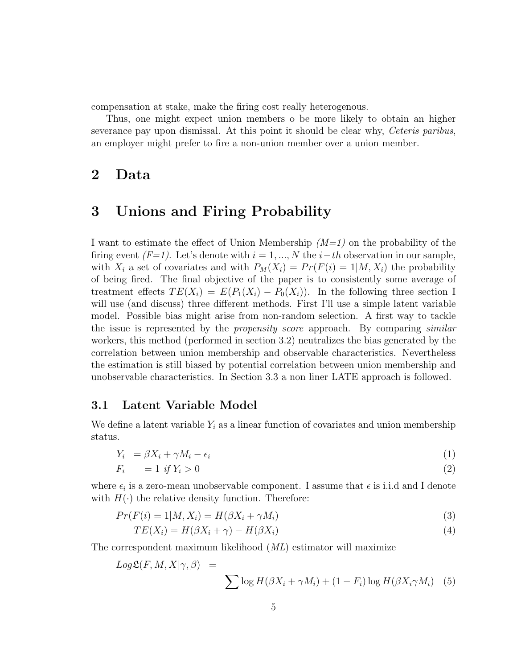compensation at stake, make the firing cost really heterogenous.

Thus, one might expect union members o be more likely to obtain an higher severance pay upon dismissal. At this point it should be clear why, Ceteris paribus, an employer might prefer to fire a non-union member over a union member.

## 2 Data

### 3 Unions and Firing Probability

I want to estimate the effect of Union Membership  $(M=1)$  on the probability of the firing event  $(F=1)$ . Let's denote with  $i = 1, ..., N$  the  $i-th$  observation in our sample, with  $X_i$  a set of covariates and with  $P_M(X_i) = Pr(F(i) = 1 | M, X_i)$  the probability of being fired. The final objective of the paper is to consistently some average of treatment effects  $TE(X_i) = E(P_1(X_i) - P_0(X_i))$ . In the following three section I will use (and discuss) three different methods. First I'll use a simple latent variable model. Possible bias might arise from non-random selection. A first way to tackle the issue is represented by the *propensity score* approach. By comparing *similar* workers, this method (performed in section 3.2) neutralizes the bias generated by the correlation between union membership and observable characteristics. Nevertheless the estimation is still biased by potential correlation between union membership and unobservable characteristics. In Section 3.3 a non liner LATE approach is followed.

### 3.1 Latent Variable Model

We define a latent variable  $Y_i$  as a linear function of covariates and union membership status.

$$
Y_i = \beta X_i + \gamma M_i - \epsilon_i \tag{1}
$$

$$
F_i = 1 \text{ if } Y_i > 0 \tag{2}
$$

where  $\epsilon_i$  is a zero-mean unobservable component. I assume that  $\epsilon$  is i.i.d and I denote with  $H(\cdot)$  the relative density function. Therefore:

$$
Pr(F(i) = 1|M, X_i) = H(\beta X_i + \gamma M_i)
$$
\n(3)

$$
TE(X_i) = H(\beta X_i + \gamma) - H(\beta X_i)
$$
\n<sup>(4)</sup>

The correspondent maximum likelihood (ML) estimator will maximize

$$
Log \mathcal{L}(F, M, X | \gamma, \beta) = \sum \log H(\beta X_i + \gamma M_i) + (1 - F_i) \log H(\beta X_i \gamma M_i)
$$
 (5)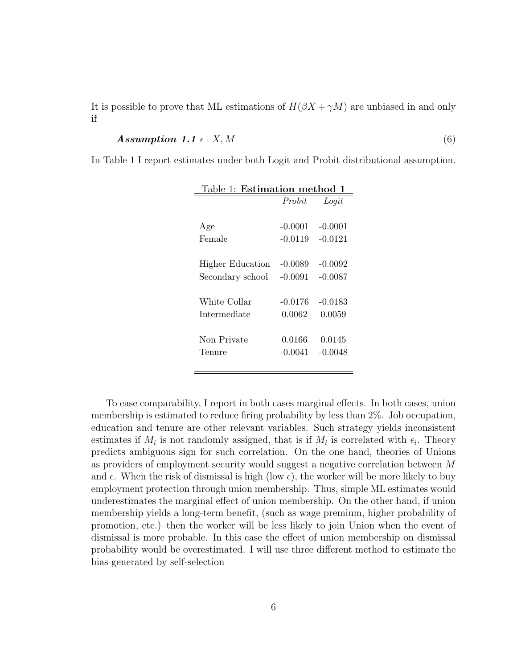It is possible to prove that ML estimations of  $H(\beta X + \gamma M)$  are unbiased in and only if

Assumption 1.1 ⊥X, M (6)

In Table 1 I report estimates under both Logit and Probit distributional assumption.

| Table 1: Estimation method 1 |           |           |
|------------------------------|-----------|-----------|
|                              | Probit    | Logit     |
|                              |           |           |
| Age                          | $-0.0001$ | $-0.0001$ |
| Female                       | $-0.0119$ | $-0.0121$ |
|                              |           |           |
| Higher Education             | $-0.0089$ | $-0.0092$ |
| Secondary school             | $-0.0091$ | $-0.0087$ |
|                              |           |           |
| White Collar                 | $-0.0176$ | $-0.0183$ |
| Intermediate                 | 0.0062    | 0.0059    |
|                              |           |           |
| Non Private                  | 0.0166    | 0.0145    |
| Tenure                       | $-0.0041$ | $-0.0048$ |
|                              |           |           |

To ease comparability, I report in both cases marginal effects. In both cases, union membership is estimated to reduce firing probability by less than 2%. Job occupation, education and tenure are other relevant variables. Such strategy yields inconsistent estimates if  $M_i$  is not randomly assigned, that is if  $M_i$  is correlated with  $\epsilon_i$ . Theory predicts ambiguous sign for such correlation. On the one hand, theories of Unions as providers of employment security would suggest a negative correlation between M and  $\epsilon$ . When the risk of dismissal is high (low  $\epsilon$ ), the worker will be more likely to buy employment protection through union membership. Thus, simple ML estimates would underestimates the marginal effect of union membership. On the other hand, if union membership yields a long-term benefit, (such as wage premium, higher probability of promotion, etc.) then the worker will be less likely to join Union when the event of dismissal is more probable. In this case the effect of union membership on dismissal probability would be overestimated. I will use three different method to estimate the bias generated by self-selection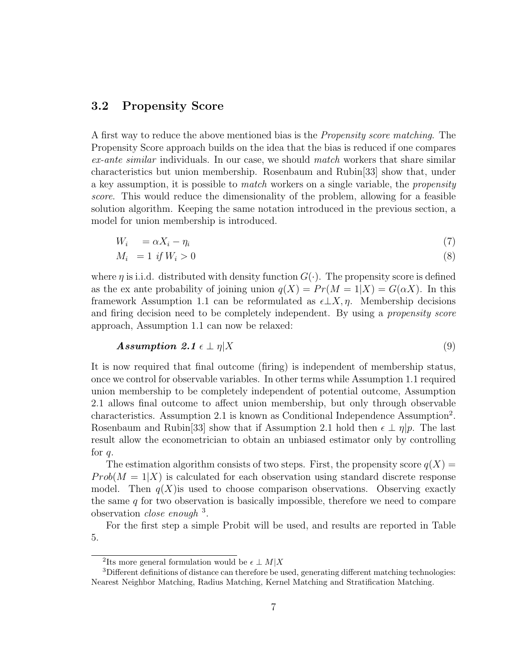### 3.2 Propensity Score

A first way to reduce the above mentioned bias is the Propensity score matching. The Propensity Score approach builds on the idea that the bias is reduced if one compares ex-ante similar individuals. In our case, we should match workers that share similar characteristics but union membership. Rosenbaum and Rubin[33] show that, under a key assumption, it is possible to *match* workers on a single variable, the *propensity* score. This would reduce the dimensionality of the problem, allowing for a feasible solution algorithm. Keeping the same notation introduced in the previous section, a model for union membership is introduced.

$$
W_i = \alpha X_i - \eta_i \tag{7}
$$

$$
M_i = 1 \text{ if } W_i > 0 \tag{8}
$$

where  $\eta$  is i.i.d. distributed with density function  $G(\cdot)$ . The propensity score is defined as the ex ante probability of joining union  $q(X) = Pr(M = 1|X) = G(\alpha X)$ . In this framework Assumption 1.1 can be reformulated as  $\epsilon \perp X$ ,  $\eta$ . Membership decisions and firing decision need to be completely independent. By using a *propensity score* approach, Assumption 1.1 can now be relaxed:

$$
Assumption 2.1 \epsilon \perp \eta | X \tag{9}
$$

It is now required that final outcome (firing) is independent of membership status, once we control for observable variables. In other terms while Assumption 1.1 required union membership to be completely independent of potential outcome, Assumption 2.1 allows final outcome to affect union membership, but only through observable characteristics. Assumption 2.1 is known as Conditional Independence Assumption<sup>2</sup>. Rosenbaum and Rubin<sup>[33]</sup> show that if Assumption 2.1 hold then  $\epsilon \perp \eta | p$ . The last result allow the econometrician to obtain an unbiased estimator only by controlling for  $q$ .

The estimation algorithm consists of two steps. First, the propensity score  $q(X)$  =  $Prob(M = 1|X)$  is calculated for each observation using standard discrete response model. Then  $q(X)$  is used to choose comparison observations. Observing exactly the same  $q$  for two observation is basically impossible, therefore we need to compare observation *close enough*  $^3$ .

For the first step a simple Probit will be used, and results are reported in Table 5.

<sup>&</sup>lt;sup>2</sup>Its more general formulation would be  $\epsilon \perp M|X$ 

<sup>3</sup>Different definitions of distance can therefore be used, generating different matching technologies: Nearest Neighbor Matching, Radius Matching, Kernel Matching and Stratification Matching.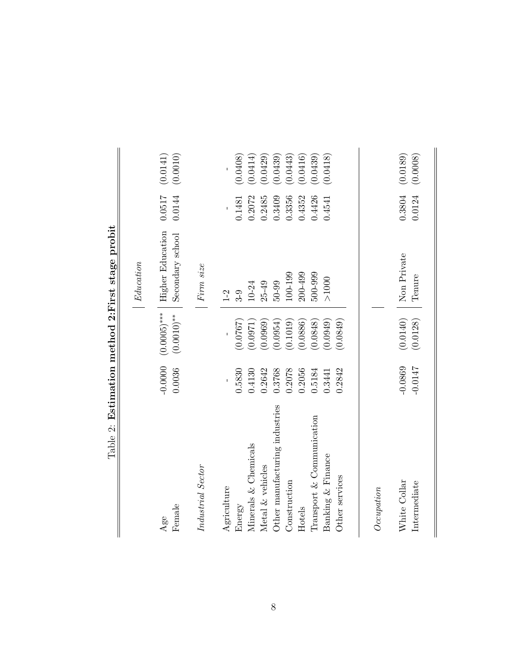|                                |                        |                      | Table 2: Estimation method 2:First stage probit       |                  |                      |
|--------------------------------|------------------------|----------------------|-------------------------------------------------------|------------------|----------------------|
|                                |                        |                      | Education                                             |                  |                      |
| Female<br>Age                  | $-0.0000$<br>0.0036    | $(0.0010)$ **        | $(0.0005)$ ***   Higher Education<br>Secondary school | 0.0517<br>0.0144 | (0.0141)<br>(0.0010) |
| Industrial Sector              |                        |                      | Firm size                                             |                  |                      |
| Agriculture                    |                        |                      | $1 - 2$                                               |                  |                      |
| Energy                         | 0.5830                 | (0.0767)             | $3-9$                                                 | 0.1481           | (0.0408)             |
| Minerals & Chemicals           | 0.4130                 | (0.0971)             | $10 - 24$                                             | 0.2072           | (0.0414)             |
| Metal & vehicles               | 0.2642                 | (0.0969)             | $25 - 49$                                             | 0.2485           | (0.0429)             |
| Other manufacturing industries | 0.3768                 | (0.0954)             | $50 - 99$                                             | 0.3409           | (0.0439)             |
| Construction                   | 0.2078                 | (0.1019)             | 100-199                                               | 0.3356           | (0.0443)             |
| Hotels                         | 0.2056                 | (0.0886)             | 200-499                                               | 0.4352           | (0.0416)             |
| Transport & Communication      | 0.5184                 | (0.0848)             | 500-999                                               | 0.4426           | (0.0439)             |
| Banking & Finance              | 0.3441                 | (0.0949)             | $>1000$                                               | 0.4541           | (0.0418)             |
| Other services                 | 0.2842                 | (0.0849)             |                                                       |                  |                      |
| Occupation                     |                        |                      |                                                       |                  |                      |
|                                |                        |                      |                                                       |                  |                      |
| White Collar<br>Intermediate   | $-0.0869$<br>$-0.0147$ | (0.0140)<br>(0.0128) | Non Private<br>Tenure                                 | 0.3804<br>0.0124 | (0.0189)<br>(0.0008) |
|                                |                        |                      |                                                       |                  |                      |

 $\frac{1}{2}$ 

 $\parallel$ 

| とくさく こうしょう<br>ļ  |
|------------------|
| $\frac{1}{2}$    |
|                  |
| ひんこ せんろう こうへんしょう |
|                  |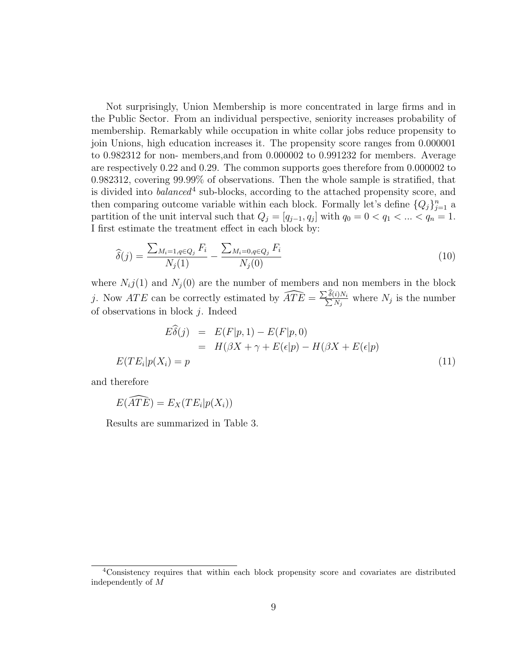Not surprisingly, Union Membership is more concentrated in large firms and in the Public Sector. From an individual perspective, seniority increases probability of membership. Remarkably while occupation in white collar jobs reduce propensity to join Unions, high education increases it. The propensity score ranges from 0.000001 to 0.982312 for non- members,and from 0.000002 to 0.991232 for members. Average are respectively 0.22 and 0.29. The common supports goes therefore from 0.000002 to 0.982312, covering 99.99% of observations. Then the whole sample is stratified, that is divided into *balanced*<sup>4</sup> sub-blocks, according to the attached propensity score, and then comparing outcome variable within each block. Formally let's define  ${Q_j}_{j=1}^n$  a partition of the unit interval such that  $Q_j = [q_{j-1}, q_j]$  with  $q_0 = 0 < q_1 < ... < q_n = 1$ . I first estimate the treatment effect in each block by:

$$
\widehat{\delta}(j) = \frac{\sum_{M_i=1, q \in Q_j} F_i}{N_j(1)} - \frac{\sum_{M_i=0, q \in Q_j} F_i}{N_j(0)} \tag{10}
$$

where  $N_i j(1)$  and  $N_i(0)$  are the number of members and non members in the block j. Now  $ATE$  can be correctly estimated by  $\widehat{ATE} = \frac{\sum_{\mathbf{R}}}{\sum_{\mathbf{R}}}\frac{1}{\sum_{\mathbf{R}}}\sum_{\mathbf{R}}$  $\frac{\delta(i)N_i}{N}$  $\frac{i j N_i}{N_j}$  where  $N_j$  is the number of observations in block  $j$ . Indeed

$$
E\hat{\delta}(j) = E(F|p, 1) - E(F|p, 0)
$$
  
= 
$$
H(\beta X + \gamma + E(\epsilon|p) - H(\beta X + E(\epsilon|p))
$$
  

$$
E(TE_i|p(X_i) = p)
$$
 (11)

and therefore

$$
E(\widehat{ATE}) = E_X(TE_i|p(X_i))
$$

Results are summarized in Table 3.

<sup>4</sup>Consistency requires that within each block propensity score and covariates are distributed independently of M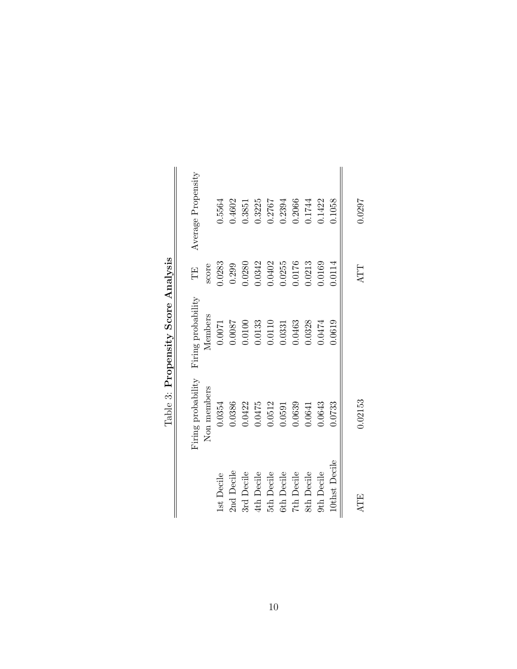| Average Propensity<br>Ë<br>Firing probability | score<br>Members | 0.5564<br>0.283<br>0.0071 | 0.4602<br>0.299<br>0.0087 | 0.3851<br>0.0280<br>0.0100 | 0.3225<br>0.342<br>0.0133 | 0.2767<br>0.0402<br>0.0110 | 0.2394<br>0.255<br>0.0331 | 0.2066<br>0.0176<br>0.0463 | 0.1744<br>0.0213<br>0.0328 | 0.1422<br>0.0169<br>1.0474 | 0.1058<br>0.0114<br>0.0619 | 0.0297<br>ATT |
|-----------------------------------------------|------------------|---------------------------|---------------------------|----------------------------|---------------------------|----------------------------|---------------------------|----------------------------|----------------------------|----------------------------|----------------------------|---------------|
| Firing probability                            | Non members      | 0.0354                    | 0.0386                    | 0.0422                     | 0.0475                    | 0.0512                     | 0.0591                    | 0.0639                     | 0.0641                     | 0.0643                     | 0.0733                     | 0.02153       |
|                                               |                  | 1st Decile                | 2nd Decile                | 3rd Decile                 | 4th Decile                | 5th Decile                 | 6th Decile                | 7th Decile                 | 8th Decile                 | 9th Decile                 | 10thst Decile              | ATE           |

Table 3: Propensity Score Analysis Table 3: Propensity Score Analysis

 $\parallel$ 

 $\parallel$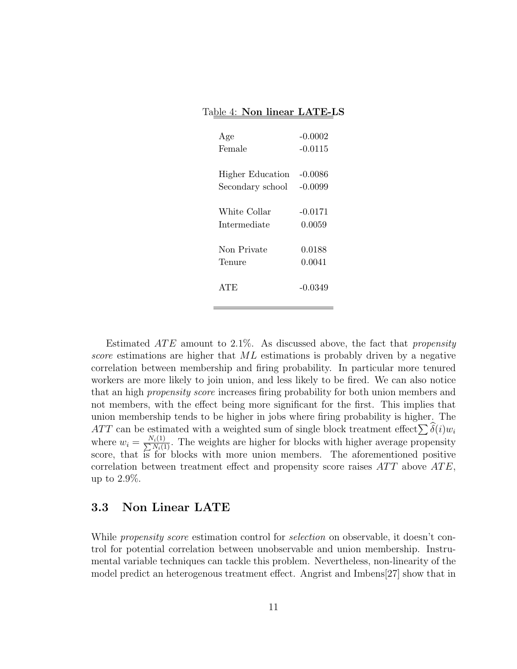#### Table 4: Non linear LATE-LS

| Age                     | $-0.0002$ |
|-------------------------|-----------|
| Female                  | $-0.0115$ |
|                         |           |
| <b>Higher Education</b> | $-0.0086$ |
| Secondary school        | $-0.0099$ |
|                         |           |
| White Collar            | $-0.0171$ |
| Intermediate            | 0.0059    |
|                         |           |
| Non Private             | 0.0188    |
| Tenure                  | 0.0041    |
|                         |           |
| ATE                     | -0.0349   |
|                         |           |

Estimated  $ATE$  amount to 2.1%. As discussed above, the fact that propensity score estimations are higher that ML estimations is probably driven by a negative correlation between membership and firing probability. In particular more tenured workers are more likely to join union, and less likely to be fired. We can also notice that an high propensity score increases firing probability for both union members and not members, with the effect being more significant for the first. This implies that union membership tends to be higher in jobs where firing probability is higher. The ATT can be estimated with a weighted sum of single block treatment effect  $\sum \delta(i)w_i$ where  $w_i = \frac{N_i(1)}{\sum N_i(1)}$ . The weights are higher for blocks with higher average propensity score, that is for blocks with more union members. The aforementioned positive correlation between treatment effect and propensity score raises  $ATT$  above  $ATE$ , up to 2.9%.

### 3.3 Non Linear LATE

While *propensity score* estimation control for *selection* on observable, it doesn't control for potential correlation between unobservable and union membership. Instrumental variable techniques can tackle this problem. Nevertheless, non-linearity of the model predict an heterogenous treatment effect. Angrist and Imbens[27] show that in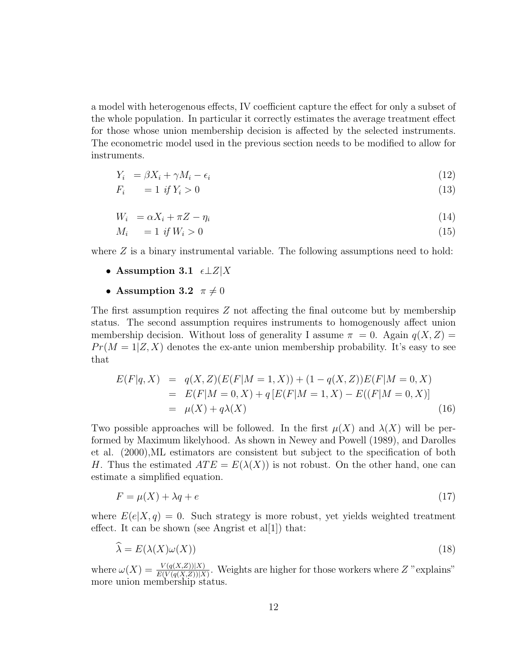a model with heterogenous effects, IV coefficient capture the effect for only a subset of the whole population. In particular it correctly estimates the average treatment effect for those whose union membership decision is affected by the selected instruments. The econometric model used in the previous section needs to be modified to allow for instruments.

$$
Y_i = \beta X_i + \gamma M_i - \epsilon_i \tag{12}
$$

$$
F_i = 1 \text{ if } Y_i > 0 \tag{13}
$$

$$
W_i = \alpha X_i + \pi Z - \eta_i \tag{14}
$$

$$
M_i = 1 \text{ if } W_i > 0 \tag{15}
$$

where  $Z$  is a binary instrumental variable. The following assumptions need to hold:

- Assumption 3.1  $\epsilon \perp Z|X$
- Assumption 3.2  $\pi \neq 0$

The first assumption requires Z not affecting the final outcome but by membership status. The second assumption requires instruments to homogenously affect union membership decision. Without loss of generality I assume  $\pi = 0$ . Again  $q(X, Z) =$  $Pr(M = 1|Z, X)$  denotes the ex-ante union membership probability. It's easy to see that

$$
E(F|q, X) = q(X, Z)(E(F|M = 1, X)) + (1 - q(X, Z))E(F|M = 0, X)
$$
  
= 
$$
E(F|M = 0, X) + q[E(F|M = 1, X) - E((F|M = 0, X)]
$$
  
= 
$$
\mu(X) + q\lambda(X)
$$
 (16)

Two possible approaches will be followed. In the first  $\mu(X)$  and  $\lambda(X)$  will be performed by Maximum likelyhood. As shown in Newey and Powell (1989), and Darolles et al. (2000),ML estimators are consistent but subject to the specification of both H. Thus the estimated  $ATE = E(\lambda(X))$  is not robust. On the other hand, one can estimate a simplified equation.

$$
F = \mu(X) + \lambda q + e \tag{17}
$$

where  $E(e|X,q) = 0$ . Such strategy is more robust, yet yields weighted treatment effect. It can be shown (see Angrist et al[1]) that:

$$
\widehat{\lambda} = E(\lambda(X)\omega(X))
$$
\n(18)

where  $\omega(X) = \frac{V(q(X,Z))|X)}{E(V(q(X,Z))|X)}$ . Weights are higher for those workers where Z "explains" more union membership status.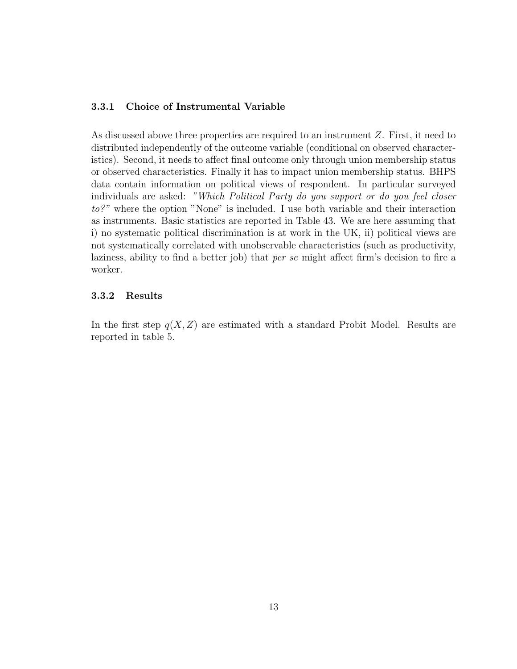### 3.3.1 Choice of Instrumental Variable

As discussed above three properties are required to an instrument Z. First, it need to distributed independently of the outcome variable (conditional on observed characteristics). Second, it needs to affect final outcome only through union membership status or observed characteristics. Finally it has to impact union membership status. BHPS data contain information on political views of respondent. In particular surveyed individuals are asked: "Which Political Party do you support or do you feel closer to?" where the option "None" is included. I use both variable and their interaction as instruments. Basic statistics are reported in Table 43. We are here assuming that i) no systematic political discrimination is at work in the UK, ii) political views are not systematically correlated with unobservable characteristics (such as productivity, laziness, ability to find a better job) that per se might affect firm's decision to fire a worker.

#### 3.3.2 Results

In the first step  $q(X, Z)$  are estimated with a standard Probit Model. Results are reported in table 5.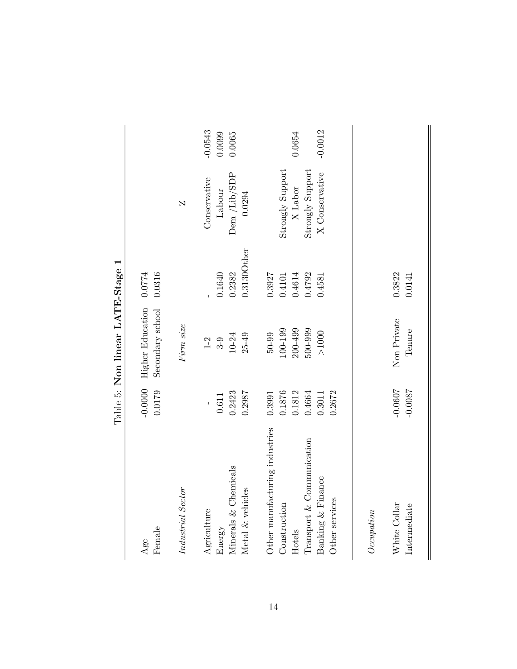|                                |                        | Table 5: Non linear LATE-Stage 1     |                  |                         |           |
|--------------------------------|------------------------|--------------------------------------|------------------|-------------------------|-----------|
| Female<br>Age                  | $-0.0000$<br>0.0179    | Higher Education<br>Secondary school | 0.0316<br>0.0774 |                         |           |
| Industrial Sector              |                        | Firm size                            |                  | $\overline{\mathsf{N}}$ |           |
| Agriculture                    |                        | $1-2$                                |                  | Conservative            | $-0.0543$ |
| Energy                         | 0.611                  | $3-9$                                | 0.1640           | Labour                  | 0.0099    |
| Minerals & Chemicals           | 0.2423                 | $10 - 24$                            | 0.2382           | Dem /Lib/SDP            | 0.0065    |
| Metal & vehicles               | 0.2987                 | $25 - 49$                            | $0.3130O$ ther   | 0.0294                  |           |
| Other manufacturing industries | 0.3991                 | $50 - 99$                            | 0.3927           |                         |           |
| Construction                   | 0.1876                 | 100-199                              | 0.4101           | Strongly Support        |           |
| Hotels                         | 0.1812                 | $200 - 499$                          | 0.4614           | X Labor                 | 0.0654    |
| Transport & Communication      | 0.4664                 | 500-999                              | 0.4792           | Strongly Support        |           |
| Banking & Finance              | 0.3011                 | $>1000$                              | 0.4581           | X Conservative          | $-0.0012$ |
| Other services                 | 0.2672                 |                                      |                  |                         |           |
|                                |                        |                                      |                  |                         |           |
| Occuation                      |                        |                                      |                  |                         |           |
| White Collar<br>Intermediate   | $-0.0607$<br>$-0.0087$ | Non Private<br>Tenure                | 0.3822<br>0.0141 |                         |           |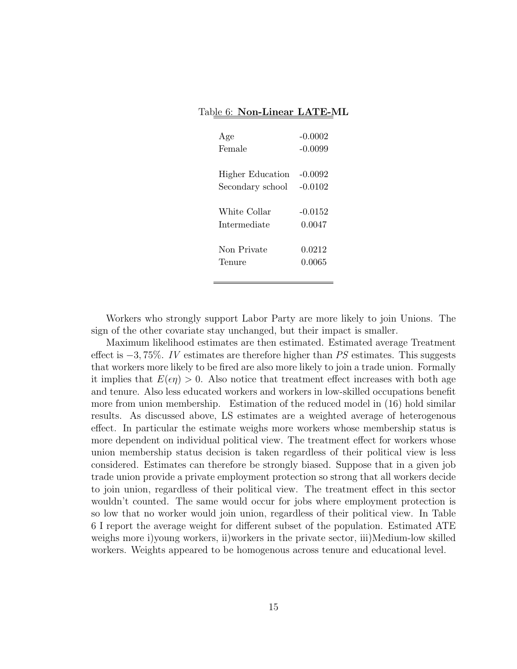#### Table 6: Non-Linear LATE-ML

| Age              | $-0.0002$ |
|------------------|-----------|
| Female           | $-0.0099$ |
|                  |           |
| Higher Education | $-0.0092$ |
| Secondary school | $-0.0102$ |
|                  |           |
| White Collar     | $-0.0152$ |
| Intermediate     | 0.0047    |
|                  |           |
| Non Private      | 0.0212    |
| Tenure           | 0.0065    |
|                  |           |

Workers who strongly support Labor Party are more likely to join Unions. The sign of the other covariate stay unchanged, but their impact is smaller.

Maximum likelihood estimates are then estimated. Estimated average Treatment effect is  $-3$ , 75%. IV estimates are therefore higher than PS estimates. This suggests that workers more likely to be fired are also more likely to join a trade union. Formally it implies that  $E(\epsilon \eta) > 0$ . Also notice that treatment effect increases with both age and tenure. Also less educated workers and workers in low-skilled occupations benefit more from union membership. Estimation of the reduced model in (16) hold similar results. As discussed above, LS estimates are a weighted average of heterogenous effect. In particular the estimate weighs more workers whose membership status is more dependent on individual political view. The treatment effect for workers whose union membership status decision is taken regardless of their political view is less considered. Estimates can therefore be strongly biased. Suppose that in a given job trade union provide a private employment protection so strong that all workers decide to join union, regardless of their political view. The treatment effect in this sector wouldn't counted. The same would occur for jobs where employment protection is so low that no worker would join union, regardless of their political view. In Table 6 I report the average weight for different subset of the population. Estimated ATE weighs more i)young workers, ii)workers in the private sector, iii)Medium-low skilled workers. Weights appeared to be homogenous across tenure and educational level.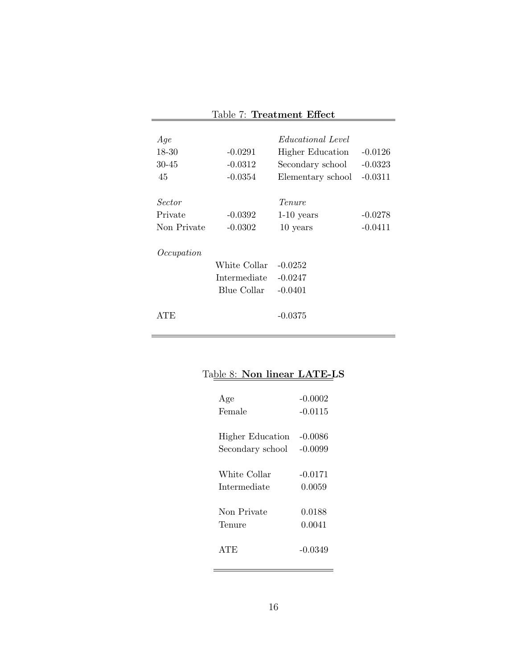| Age         |                    | <i>Educational Level</i> |           |
|-------------|--------------------|--------------------------|-----------|
| $18 - 30$   | $-0.0291$          | Higher Education         | $-0.0126$ |
| 30-45       | $-0.0312$          | Secondary school         | $-0.0323$ |
| 45          | $-0.0354$          | Elementary school        | $-0.0311$ |
|             |                    |                          |           |
| Sector      |                    | Tenure                   |           |
| Private     | $-0.0392$          | $1-10$ years             | $-0.0278$ |
| Non Private | $-0.0302$          | 10 years                 | $-0.0411$ |
|             |                    |                          |           |
| Occupation  |                    |                          |           |
|             | White Collar       | $-0.0252$                |           |
|             | Intermediate       | $-0.0247$                |           |
|             | <b>Blue Collar</b> | $-0.0401$                |           |
|             |                    |                          |           |
| ATE         |                    | $-0.0375$                |           |
|             |                    |                          |           |

## Table 7: Treatment Effect

## Table 8: Non linear LATE-LS

 $\equiv$ 

| Age                     | $-0.0002$ |
|-------------------------|-----------|
| Female                  | $-0.0115$ |
|                         |           |
| <b>Higher Education</b> | $-0.0086$ |
| Secondary school        | $-0.0099$ |
|                         |           |
| White Collar            | -0.0171   |
| Intermediate            | 0.0059    |
|                         |           |
| Non Private             | 0.0188    |
| Tenure                  | 0.0041    |
|                         |           |
| ATE                     | -0.0349   |
|                         |           |

 $\overline{\phantom{a}}$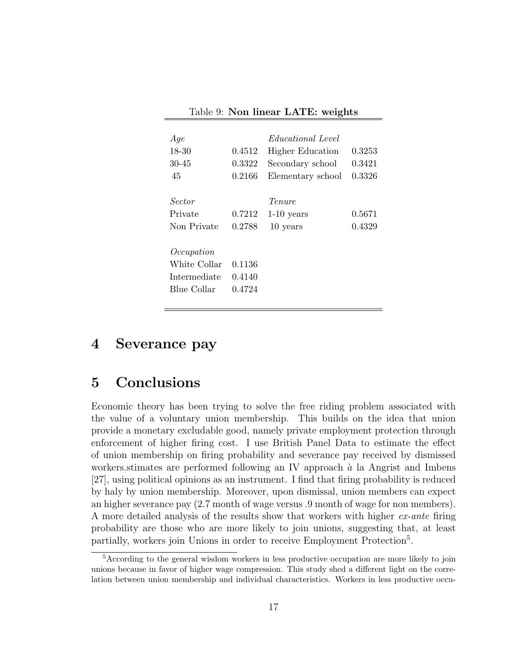| Age          |        | <i>Educational Level</i> |        |
|--------------|--------|--------------------------|--------|
| 18-30        | 0.4512 | <b>Higher Education</b>  | 0.3253 |
| 30-45        | 0.3322 | Secondary school         | 0.3421 |
| 45           | 0.2166 | Elementary school        | 0.3326 |
|              |        |                          |        |
| Sector       |        | Tenure                   |        |
| Private      | 0.7212 | $1-10$ years             | 0.5671 |
| Non Private  | 0.2788 | 10 years                 | 0.4329 |
|              |        |                          |        |
| Occupation   |        |                          |        |
| White Collar | 0.1136 |                          |        |
| Intermediate | 0.4140 |                          |        |
| Blue Collar  | 0.4724 |                          |        |
|              |        |                          |        |

Table 9: Non linear LATE: weights

### 4 Severance pay

## 5 Conclusions

Economic theory has been trying to solve the free riding problem associated with the value of a voluntary union membership. This builds on the idea that union provide a monetary excludable good, namely private employment protection through enforcement of higher firing cost. I use British Panel Data to estimate the effect of union membership on firing probability and severance pay received by dismissed workers stimates are performed following an IV approach  $\dot{a}$  la Angrist and Imbens [27], using political opinions as an instrument. I find that firing probability is reduced by haly by union membership. Moreover, upon dismissal, union members can expect an higher severance pay (2.7 month of wage versus .9 month of wage for non members). A more detailed analysis of the results show that workers with higher ex-ante firing probability are those who are more likely to join unions, suggesting that, at least partially, workers join Unions in order to receive Employment Protection<sup>5</sup>.

<sup>5</sup>According to the general wisdom workers in less productive occupation are more likely to join unions because in favor of higher wage compression. This study shed a different light on the correlation between union membership and individual characteristics. Workers in less productive occu-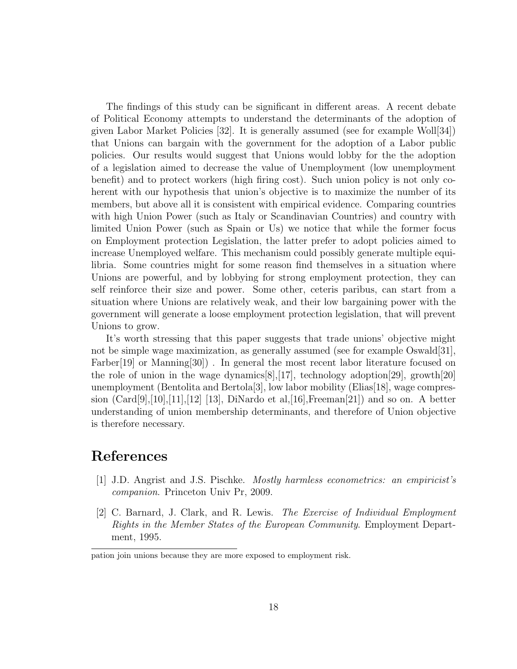The findings of this study can be significant in different areas. A recent debate of Political Economy attempts to understand the determinants of the adoption of given Labor Market Policies [32]. It is generally assumed (see for example Woll[34]) that Unions can bargain with the government for the adoption of a Labor public policies. Our results would suggest that Unions would lobby for the the adoption of a legislation aimed to decrease the value of Unemployment (low unemployment benefit) and to protect workers (high firing cost). Such union policy is not only coherent with our hypothesis that union's objective is to maximize the number of its members, but above all it is consistent with empirical evidence. Comparing countries with high Union Power (such as Italy or Scandinavian Countries) and country with limited Union Power (such as Spain or Us) we notice that while the former focus on Employment protection Legislation, the latter prefer to adopt policies aimed to increase Unemployed welfare. This mechanism could possibly generate multiple equilibria. Some countries might for some reason find themselves in a situation where Unions are powerful, and by lobbying for strong employment protection, they can self reinforce their size and power. Some other, ceteris paribus, can start from a situation where Unions are relatively weak, and their low bargaining power with the government will generate a loose employment protection legislation, that will prevent Unions to grow.

It's worth stressing that this paper suggests that trade unions' objective might not be simple wage maximization, as generally assumed (see for example Oswald[31], Farber<sup>[19]</sup> or Manning<sup>[30]</sup>). In general the most recent labor literature focused on the role of union in the wage dynamics[8],[17], technology adoption[29], growth[20] unemployment (Bentolita and Bertola[3], low labor mobility (Elias[18], wage compression  $(Card[9], [10], [11], [12]$  [13], DiNardo et al, [16], Freeman [21]) and so on. A better understanding of union membership determinants, and therefore of Union objective is therefore necessary.

## References

- [1] J.D. Angrist and J.S. Pischke. Mostly harmless econometrics: an empiricist's companion. Princeton Univ Pr, 2009.
- [2] C. Barnard, J. Clark, and R. Lewis. The Exercise of Individual Employment Rights in the Member States of the European Community. Employment Department, 1995.

pation join unions because they are more exposed to employment risk.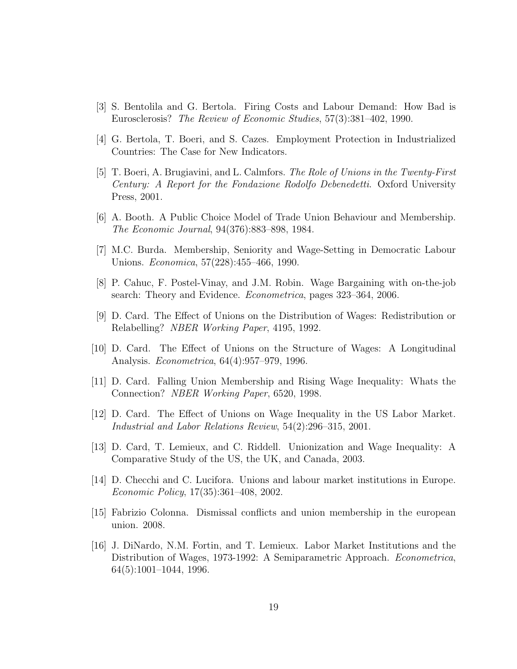- [3] S. Bentolila and G. Bertola. Firing Costs and Labour Demand: How Bad is Eurosclerosis? The Review of Economic Studies, 57(3):381–402, 1990.
- [4] G. Bertola, T. Boeri, and S. Cazes. Employment Protection in Industrialized Countries: The Case for New Indicators.
- [5] T. Boeri, A. Brugiavini, and L. Calmfors. The Role of Unions in the Twenty-First Century: A Report for the Fondazione Rodolfo Debenedetti. Oxford University Press, 2001.
- [6] A. Booth. A Public Choice Model of Trade Union Behaviour and Membership. The Economic Journal, 94(376):883–898, 1984.
- [7] M.C. Burda. Membership, Seniority and Wage-Setting in Democratic Labour Unions. Economica, 57(228):455–466, 1990.
- [8] P. Cahuc, F. Postel-Vinay, and J.M. Robin. Wage Bargaining with on-the-job search: Theory and Evidence. Econometrica, pages 323–364, 2006.
- [9] D. Card. The Effect of Unions on the Distribution of Wages: Redistribution or Relabelling? NBER Working Paper, 4195, 1992.
- [10] D. Card. The Effect of Unions on the Structure of Wages: A Longitudinal Analysis. Econometrica, 64(4):957–979, 1996.
- [11] D. Card. Falling Union Membership and Rising Wage Inequality: Whats the Connection? NBER Working Paper, 6520, 1998.
- [12] D. Card. The Effect of Unions on Wage Inequality in the US Labor Market. Industrial and Labor Relations Review, 54(2):296–315, 2001.
- [13] D. Card, T. Lemieux, and C. Riddell. Unionization and Wage Inequality: A Comparative Study of the US, the UK, and Canada, 2003.
- [14] D. Checchi and C. Lucifora. Unions and labour market institutions in Europe. Economic Policy, 17(35):361–408, 2002.
- [15] Fabrizio Colonna. Dismissal conflicts and union membership in the european union. 2008.
- [16] J. DiNardo, N.M. Fortin, and T. Lemieux. Labor Market Institutions and the Distribution of Wages, 1973-1992: A Semiparametric Approach. Econometrica, 64(5):1001–1044, 1996.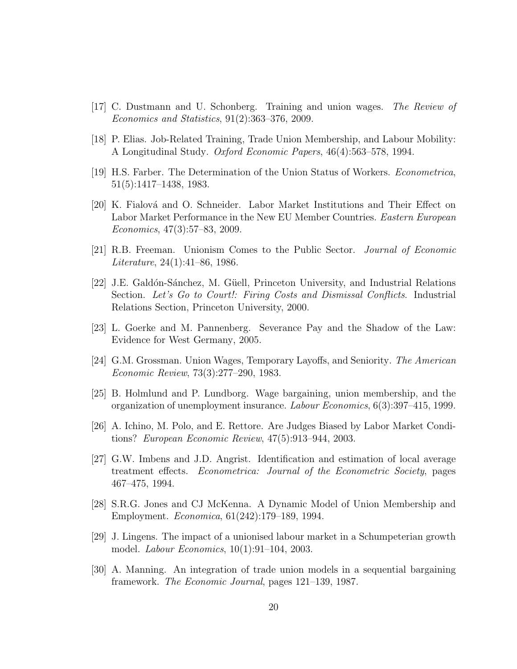- [17] C. Dustmann and U. Schonberg. Training and union wages. The Review of Economics and Statistics, 91(2):363–376, 2009.
- [18] P. Elias. Job-Related Training, Trade Union Membership, and Labour Mobility: A Longitudinal Study. Oxford Economic Papers, 46(4):563–578, 1994.
- [19] H.S. Farber. The Determination of the Union Status of Workers. Econometrica, 51(5):1417–1438, 1983.
- [20] K. Fialov´a and O. Schneider. Labor Market Institutions and Their Effect on Labor Market Performance in the New EU Member Countries. Eastern European Economics, 47(3):57–83, 2009.
- [21] R.B. Freeman. Unionism Comes to the Public Sector. Journal of Economic *Literature*,  $24(1):41-86$ , 1986.
- [22] J.E. Galdón-Sánchez, M. Güell, Princeton University, and Industrial Relations Section. Let's Go to Court!: Firing Costs and Dismissal Conflicts. Industrial Relations Section, Princeton University, 2000.
- [23] L. Goerke and M. Pannenberg. Severance Pay and the Shadow of the Law: Evidence for West Germany, 2005.
- [24] G.M. Grossman. Union Wages, Temporary Layoffs, and Seniority. The American Economic Review, 73(3):277–290, 1983.
- [25] B. Holmlund and P. Lundborg. Wage bargaining, union membership, and the organization of unemployment insurance. Labour Economics, 6(3):397–415, 1999.
- [26] A. Ichino, M. Polo, and E. Rettore. Are Judges Biased by Labor Market Conditions? European Economic Review, 47(5):913–944, 2003.
- [27] G.W. Imbens and J.D. Angrist. Identification and estimation of local average treatment effects. Econometrica: Journal of the Econometric Society, pages 467–475, 1994.
- [28] S.R.G. Jones and CJ McKenna. A Dynamic Model of Union Membership and Employment. Economica, 61(242):179–189, 1994.
- [29] J. Lingens. The impact of a unionised labour market in a Schumpeterian growth model. Labour Economics, 10(1):91–104, 2003.
- [30] A. Manning. An integration of trade union models in a sequential bargaining framework. The Economic Journal, pages 121–139, 1987.